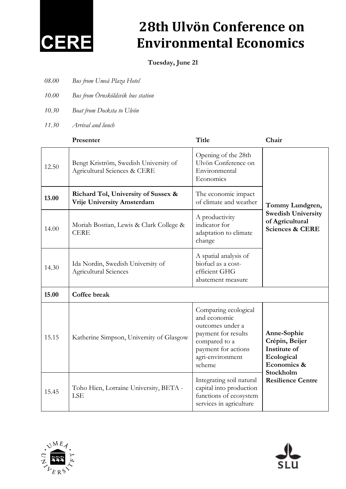

### **28th Ulvön Conference on Environmental Economics**

**Tuesday, June 21**

- *08.00 Bus from Umeå Plaza Hotel*
- *10.00 Bus from Örnsköldsvik bus station*
- *10.30 Boat from Docksta to Ulvön*
- *11.30 Arrival and lunch*

|       | Presenter                                                             | Title                                                                                                                                                 | Chair                                                                                                               |
|-------|-----------------------------------------------------------------------|-------------------------------------------------------------------------------------------------------------------------------------------------------|---------------------------------------------------------------------------------------------------------------------|
| 12.50 | Bengt Kriström, Swedish University of<br>Agricultural Sciences & CERE | Opening of the 28th<br>Ulvön Conference on<br>Environmental<br>Economics                                                                              | Tommy Lundgren,<br><b>Swedish University</b><br>of Agricultural<br><b>Sciences &amp; CERE</b>                       |
| 13.00 | Richard Tol, University of Sussex &<br>Vrije University Amsterdam     | The economic impact<br>of climate and weather                                                                                                         |                                                                                                                     |
| 14.00 | Moriah Bostian, Lewis & Clark College &<br><b>CERE</b>                | A productivity<br>indicator for<br>adaptation to climate<br>change                                                                                    |                                                                                                                     |
| 14.30 | Ida Nordin, Swedish University of<br><b>Agricultural Sciences</b>     | A spatial analysis of<br>biofuel as a cost-<br>efficient GHG<br>abatement measure                                                                     |                                                                                                                     |
| 15.00 | Coffee break                                                          |                                                                                                                                                       |                                                                                                                     |
| 15.15 | Katherine Simpson, University of Glasgow                              | Comparing ecological<br>and economic<br>outcomes under a<br>payment for results<br>compared to a<br>payment for actions<br>agri-environment<br>scheme | Anne-Sophie<br>Crépin, Beijer<br>Institute of<br>Ecological<br>Economics &<br>Stockholm<br><b>Resilience Centre</b> |
| 15.45 | Toho Hien, Lorraine University, BETA -<br><b>LSE</b>                  | Integrating soil natural<br>capital into production<br>functions of ecosystem<br>services in agriculture                                              |                                                                                                                     |



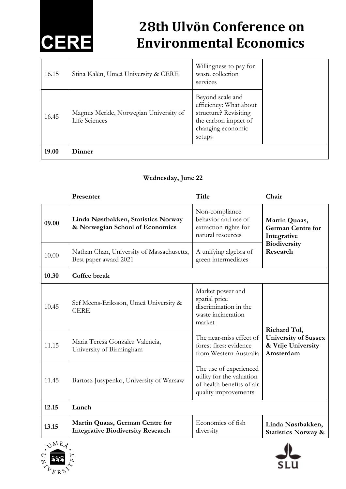## **CERE**

## **28th Ulvön Conference on Environmental Economics**

| 16.15 | Stina Kalén, Umeå University & CERE                     | Willingness to pay for<br>waste collection<br>services                                                                     |  |
|-------|---------------------------------------------------------|----------------------------------------------------------------------------------------------------------------------------|--|
| 16.45 | Magnus Merkle, Norwegian University of<br>Life Sciences | Beyond scale and<br>efficiency: What about<br>structure? Revisiting<br>the carbon impact of<br>changing economic<br>setups |  |
| 19.00 | Dinner                                                  |                                                                                                                            |  |

### **Wednesday, June 22**

|                            | Presenter                                                                   | <b>Title</b>                                                                                             | Chair                                                                                |
|----------------------------|-----------------------------------------------------------------------------|----------------------------------------------------------------------------------------------------------|--------------------------------------------------------------------------------------|
| 09.00                      | Linda Nøstbakken, Statistics Norway<br>& Norwegian School of Economics      | Non-compliance<br>behavior and use of<br>extraction rights for<br>natural resources                      | Martin Quaas,<br><b>German Centre for</b><br>Integrative<br>Biodiversity<br>Research |
| 10.00                      | Nathan Chan, University of Massachusetts,<br>Best paper award 2021          | A unifying algebra of<br>green intermediates                                                             |                                                                                      |
| 10.30                      | Coffee break                                                                |                                                                                                          |                                                                                      |
| 10.45                      | Sef Meens-Eriksson, Umeå University &<br><b>CERE</b>                        | Market power and<br>spatial price<br>discrimination in the<br>waste incineration<br>market               |                                                                                      |
| 11.15                      | Maria Teresa Gonzalez Valencia,<br>University of Birmingham                 | The near-miss effect of<br>forest fires: evidence<br>from Western Australia                              | Richard Tol,<br><b>University of Sussex</b><br>& Vrije University<br>Amsterdam       |
| 11.45                      | Bartosz Jusypenko, University of Warsaw                                     | The use of experienced<br>utility for the valuation<br>of health benefits of air<br>quality improvements |                                                                                      |
| 12.15                      | Lunch                                                                       |                                                                                                          |                                                                                      |
| 13.15                      | Martin Quaas, German Centre for<br><b>Integrative Biodiversity Research</b> | Economics of fish<br>diversity                                                                           | Linda Nøstbakken,<br><b>Statistics Norway &amp;</b>                                  |
| $\bigwedge$ ME $\bigwedge$ |                                                                             |                                                                                                          | ᄮ                                                                                    |



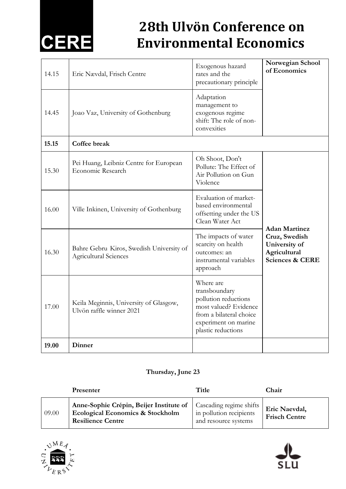# **CERE**

## **28th Ulvön Conference on Environmental Economics**

| 14.15 | Eric Nævdal, Frisch Centre                                         | Exogenous hazard<br>rates and the<br>precautionary principle                                                                                         | Norwegian School<br>of Economics                                             |
|-------|--------------------------------------------------------------------|------------------------------------------------------------------------------------------------------------------------------------------------------|------------------------------------------------------------------------------|
| 14.45 | Joao Vaz, University of Gothenburg                                 | Adaptation<br>management to<br>exogenous regime<br>shift: The role of non-<br>convexities                                                            |                                                                              |
| 15.15 | Coffee break                                                       |                                                                                                                                                      |                                                                              |
| 15.30 | Pei Huang, Leibniz Centre for European<br>Economic Research        | Oh Shoot, Don't<br>Pollute: The Effect of<br>Air Pollution on Gun<br>Violence                                                                        |                                                                              |
| 16.00 | Ville Inkinen, University of Gothenburg                            | Evaluation of market-<br>based environmental<br>offsetting under the US<br>Clean Water Act                                                           | <b>Adan Martinez</b>                                                         |
| 16.30 | Bahre Gebru Kiros, Swedish University of<br>Agricultural Sciences  | The impacts of water<br>scarcity on health<br>outcomes: an<br>instrumental variables<br>approach                                                     | Cruz, Swedish<br>University of<br>Agricultural<br><b>Sciences &amp; CERE</b> |
| 17.00 | Keila Meginnis, University of Glasgow,<br>Ulvön raffle winner 2021 | Where are<br>transboundary<br>pollution reductions<br>most valued? Evidence<br>from a bilateral choice<br>experiment on marine<br>plastic reductions |                                                                              |
| 19.00 | Dinner                                                             |                                                                                                                                                      |                                                                              |

### **Thursday, June 23**

|       | <b>Presenter</b>                                                                                                                    | Title                                           | Chair                                 |
|-------|-------------------------------------------------------------------------------------------------------------------------------------|-------------------------------------------------|---------------------------------------|
| 09.00 | Anne-Sophie Crépin, Beijer Institute of   Cascading regime shifts  <br>Ecological Economics & Stockholm<br><b>Resilience Centre</b> | in pollution recipients<br>and resource systems | Eric Naevdal,<br><b>Frisch Centre</b> |